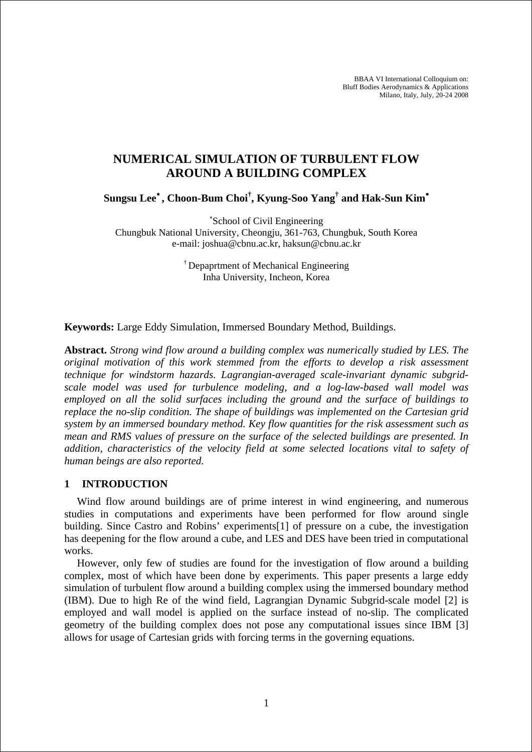BBAA VI International Colloquium on: Bluff Bodies Aerodynamics & Applications Milano, Italy, July, 20-24 2008

# **NUMERICAL SIMULATION OF TURBULENT FLOW AROUND A BUILDING COMPLEX**

**Sungsu Lee**<sup>∗</sup> **, Choon-Bum Choi† , Kyung-Soo Yang† and Hak-Sun Kim**<sup>∗</sup>

∗ School of Civil Engineering Chungbuk National University, Cheongju, 361-763, Chungbuk, South Korea e-mail: joshua@cbnu.ac.kr, haksun@cbnu.ac.kr

> † Depaprtment of Mechanical Engineering Inha University, Incheon, Korea

**Keywords:** Large Eddy Simulation, Immersed Boundary Method, Buildings.

**Abstract.** *Strong wind flow around a building complex was numerically studied by LES. The original motivation of this work stemmed from the efforts to develop a risk assessment technique for windstorm hazards. Lagrangian-averaged scale-invariant dynamic subgridscale model was used for turbulence modeling, and a log-law-based wall model was employed on all the solid surfaces including the ground and the surface of buildings to replace the no-slip condition. The shape of buildings was implemented on the Cartesian grid system by an immersed boundary method. Key flow quantities for the risk assessment such as mean and RMS values of pressure on the surface of the selected buildings are presented. In addition, characteristics of the velocity field at some selected locations vital to safety of human beings are also reported.* 

### **1 INTRODUCTION**

Wind flow around buildings are of prime interest in wind engineering, and numerous studies in computations and experiments have been performed for flow around single building. Since Castro and Robins' experiments[1] of pressure on a cube, the investigation has deepening for the flow around a cube, and LES and DES have been tried in computational works.

However, only few of studies are found for the investigation of flow around a building complex, most of which have been done by experiments. This paper presents a large eddy simulation of turbulent flow around a building complex using the immersed boundary method (IBM). Due to high Re of the wind field, Lagrangian Dynamic Subgrid-scale model [2] is employed and wall model is applied on the surface instead of no-slip. The complicated geometry of the building complex does not pose any computational issues since IBM [3] allows for usage of Cartesian grids with forcing terms in the governing equations.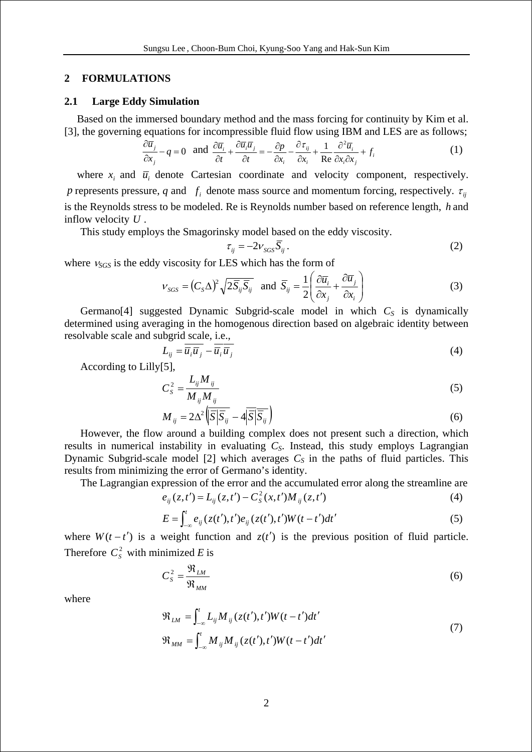### **2 FORMULATIONS**

#### **2.1 Large Eddy Simulation**

Based on the immersed boundary method and the mass forcing for continuity by Kim et al. [3], the governing equations for incompressible fluid flow using IBM and LES are as follows;

$$
\frac{\partial \overline{u}_j}{\partial x_j} - q = 0 \text{ and } \frac{\partial \overline{u}_i}{\partial t} + \frac{\partial \overline{u}_i \overline{u}_j}{\partial t} = -\frac{\partial p}{\partial x_i} - \frac{\partial \tau_{ij}}{\partial x_i} + \frac{1}{Re} \frac{\partial^2 \overline{u}_i}{\partial x_i \partial x_j} + f_i
$$
(1)

where  $x_i$  and  $\overline{u}_i$  denote Cartesian coordinate and velocity component, respectively. *p* represents pressure, *q* and  $f_i$  denote mass source and momentum forcing, respectively.  $\tau_i$ is the Reynolds stress to be modeled. Re is Reynolds number based on reference length, *h* and inflow velocity *U* .

This study employs the Smagorinsky model based on the eddy viscosity.

$$
\tau_{ij} = -2\nu_{SGS} \overline{S}_{ij} \,. \tag{2}
$$

where <sup>ν</sup>*SGS* is the eddy viscosity for LES which has the form of

$$
V_{SGS} = (C_S \Delta)^2 \sqrt{2 \bar{S}_{ij} \bar{S}_{ij}} \text{ and } \bar{S}_{ij} = \frac{1}{2} \left( \frac{\partial \bar{u}_i}{\partial x_j} + \frac{\partial \bar{u}_j}{\partial x_i} \right)
$$
(3)

Germano<sup>[4]</sup> suggested Dynamic Subgrid-scale model in which  $C<sub>S</sub>$  is dynamically determined using averaging in the homogenous direction based on algebraic identity between resolvable scale and subgrid scale, i.e.,

$$
L_{ij} = \overline{u}_i \overline{u}_j - \overline{u}_i \overline{u}_j \tag{4}
$$

According to Lilly[5],

$$
C_S^2 = \frac{L_{ij} M_{ij}}{M_{ij} M_{ij}}\tag{5}
$$

$$
M_{ij} = 2\Delta^2 \sqrt{\overline{S}|\overline{S}_{ij}} - 4\overline{|\overline{S}|}\overline{\overline{S}_{ij}}\big)
$$
 (6)

However, the flow around a building complex does not present such a direction, which results in numerical instability in evaluating *CS*. Instead, this study employs Lagrangian Dynamic Subgrid-scale model [2] which averages  $C<sub>S</sub>$  in the paths of fluid particles. This results from minimizing the error of Germano's identity.

The Lagrangian expression of the error and the accumulated error along the streamline are

$$
e_{ij}(z,t') = L_{ij}(z,t') - C_{S}^{2}(x,t')M_{ij}(z,t')
$$
\n(4)

$$
E = \int_{-\infty}^{t} e_{ij} (z(t'), t') e_{ij} (z(t'), t') W(t - t') dt'
$$
 (5)

where  $W(t - t')$  is a weight function and  $z(t')$  is the previous position of fluid particle. Therefore  $C_s^2$  with minimized *E* is

$$
C_S^2 = \frac{\mathfrak{R}_{LM}}{\mathfrak{R}_{MM}}\tag{6}
$$

where

$$
\mathfrak{R}_{LM} = \int_{-\infty}^{t} L_{ij} M_{ij} (z(t'), t') W(t - t') dt'
$$
\n
$$
\mathfrak{R}_{MM} = \int_{-\infty}^{t} M_{ij} M_{ij} (z(t'), t') W(t - t') dt'
$$
\n(7)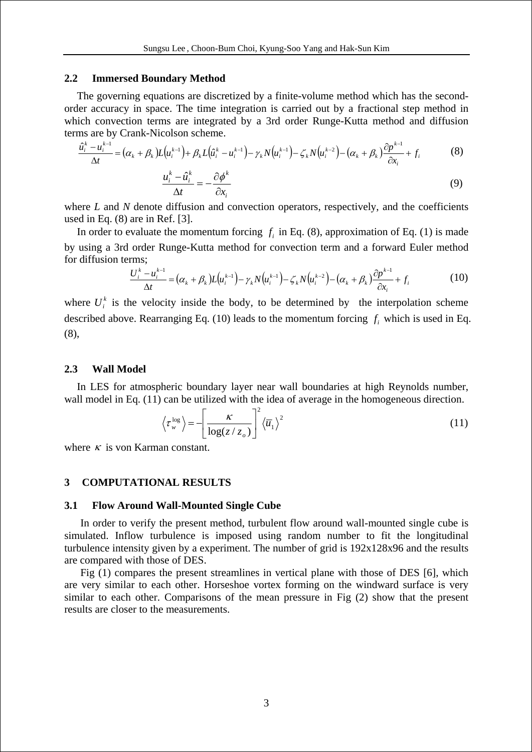#### **2.2 Immersed Boundary Method**

The governing equations are discretized by a finite-volume method which has the secondorder accuracy in space. The time integration is carried out by a fractional step method in which convection terms are integrated by a 3rd order Runge-Kutta method and diffusion terms are by Crank-Nicolson scheme.

$$
\frac{\hat{u}_i^k - u_i^{k-1}}{\Delta t} = (\alpha_k + \beta_k)L(u_i^{k-1}) + \beta_k L(\hat{u}_i^k - u_i^{k-1}) - \gamma_k N(u_i^{k-1}) - \zeta_k N(u_i^{k-2}) - (\alpha_k + \beta_k)\frac{\partial p^{k-1}}{\partial x_i} + f_i
$$
(8)

$$
\frac{\partial f_i}{\partial t} = -\frac{\partial \phi^k}{\partial x_i} \tag{9}
$$

where *L* and *N* denote diffusion and convection operators, respectively, and the coefficients used in Eq. (8) are in Ref. [3].

In order to evaluate the momentum forcing  $f_i$  in Eq. (8), approximation of Eq. (1) is made by using a 3rd order Runge-Kutta method for convection term and a forward Euler method for diffusion terms;

$$
\frac{U_i^k - u_i^{k-1}}{\Delta t} = (\alpha_k + \beta_k)L(u_i^{k-1}) - \gamma_k N(u_i^{k-1}) - \zeta_k N(u_i^{k-2}) - (\alpha_k + \beta_k)\frac{\partial p^{k-1}}{\partial x_i} + f_i
$$
(10)

where  $U_i^k$  is the velocity inside the body, to be determined by the interpolation scheme described above. Rearranging Eq. (10) leads to the momentum forcing  $f_i$  which is used in Eq. (8),

### **2.3 Wall Model**

In LES for atmospheric boundary layer near wall boundaries at high Reynolds number, wall model in Eq. (11) can be utilized with the idea of average in the homogeneous direction.

$$
\left\langle \tau_{w}^{\text{log}} \right\rangle = -\left[ \frac{\kappa}{\log(z/z_{o})} \right]^{2} \left\langle \overline{u}_{1} \right\rangle^{2} \tag{11}
$$

where  $\kappa$  is von Karman constant.

### **3 COMPUTATIONAL RESULTS**

#### **3.1 Flow Around Wall-Mounted Single Cube**

In order to verify the present method, turbulent flow around wall-mounted single cube is simulated. Inflow turbulence is imposed using random number to fit the longitudinal turbulence intensity given by a experiment. The number of grid is 192x128x96 and the results are compared with those of DES.

Fig (1) compares the present streamlines in vertical plane with those of DES [6], which are very similar to each other. Horseshoe vortex forming on the windward surface is very similar to each other. Comparisons of the mean pressure in Fig (2) show that the present results are closer to the measurements.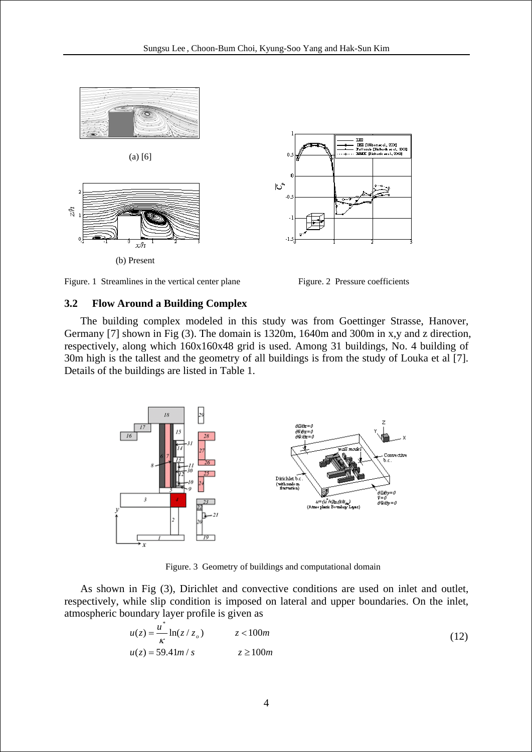

Figure. 1 Streamlines in the vertical center plane Figure. 2 Pressure coefficients

# **3.2 Flow Around a Building Complex**

The building complex modeled in this study was from Goettinger Strasse, Hanover, Germany [7] shown in Fig (3). The domain is 1320m, 1640m and 300m in x,y and z direction, respectively, along which 160x160x48 grid is used. Among 31 buildings, No. 4 building of 30m high is the tallest and the geometry of all buildings is from the study of Louka et al [7]. Details of the buildings are listed in Table 1.



Figure. 3 Geometry of buildings and computational domain

As shown in Fig (3), Dirichlet and convective conditions are used on inlet and outlet, respectively, while slip condition is imposed on lateral and upper boundaries. On the inlet, atmospheric boundary layer profile is given as

$$
u(z) = \frac{u^*}{\kappa} \ln(z / z_o) \qquad z < 100m
$$
  

$$
u(z) = 59.41m / s \qquad z \ge 100m
$$
 (12)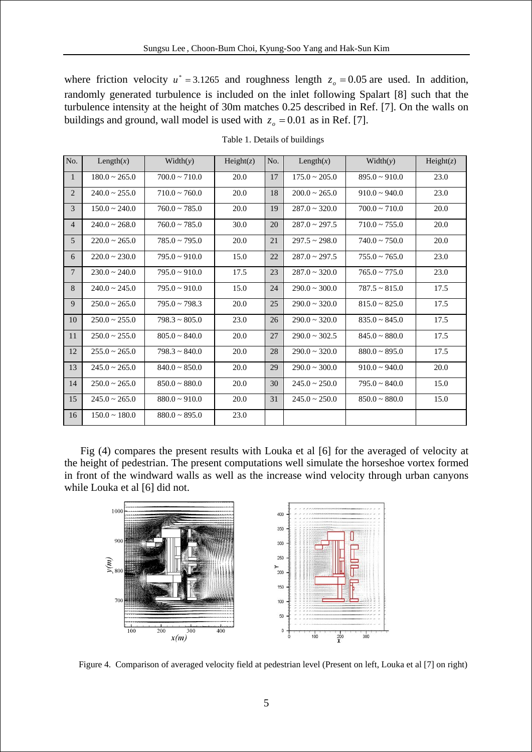where friction velocity  $u^* = 3.1265$  and roughness length  $z_o = 0.05$  are used. In addition, randomly generated turbulence is included on the inlet following Spalart [8] such that the turbulence intensity at the height of 30m matches 0.25 described in Ref. [7]. On the walls on buildings and ground, wall model is used with  $z_o = 0.01$  as in Ref. [7].

| No.            | Length $(x)$          | Width(y)              | Height(z) | No. | Length $(x)$          | Width(y)              | Height(z) |
|----------------|-----------------------|-----------------------|-----------|-----|-----------------------|-----------------------|-----------|
| $\mathbf{1}$   | $180.0 \sim 265.0$    | $700.0 \approx 710.0$ | 20.0      | 17  | $175.0 \sim 205.0$    | $895.0 \approx 910.0$ | 23.0      |
| $\overline{2}$ | $240.0 \approx 255.0$ | $710.0 \sim 760.0$    | 20.0      | 18  | $200.0 \approx 265.0$ | $910.0 \sim 940.0$    | 23.0      |
| $\overline{3}$ | $150.0 \approx 240.0$ | $760.0 \approx 785.0$ | 20.0      | 19  | $287.0 \approx 320.0$ | $700.0 \approx 710.0$ | 20.0      |
| $\overline{4}$ | $240.0 \sim 268.0$    | $760.0 \sim 785.0$    | 30.0      | 20  | $287.0 \sim 297.5$    | $710.0 \sim 755.0$    | 20.0      |
| 5              | $220.0 \sim 265.0$    | $785.0 \approx 795.0$ | 20.0      | 21  | $297.5 \sim 298.0$    | $740.0 \sim 750.0$    | 20.0      |
| 6              | $220.0 \sim 230.0$    | $795.0 \sim 910.0$    | 15.0      | 22  | $287.0 \sim 297.5$    | $755.0 \sim 765.0$    | 23.0      |
| 7              | $230.0 \approx 240.0$ | $795.0 \approx 910.0$ | 17.5      | 23  | $287.0 \approx 320.0$ | $765.0 \approx 775.0$ | 23.0      |
| 8              | $240.0 \sim 245.0$    | $795.0 \sim 910.0$    | 15.0      | 24  | $290.0 \sim 300.0$    | $787.5 \sim 815.0$    | 17.5      |
| 9              | $250.0 \sim 265.0$    | $795.0 \sim 798.3$    | 20.0      | 25  | $290.0 \sim 320.0$    | $815.0 \sim 825.0$    | 17.5      |
| 10             | $250.0 \sim 255.0$    | $798.3 \sim 805.0$    | 23.0      | 26  | $290.0 \sim 320.0$    | $835.0 \sim 845.0$    | 17.5      |
| 11             | $250.0 \sim 255.0$    | $805.0 \approx 840.0$ | 20.0      | 27  | $290.0 \approx 302.5$ | $845.0 \approx 880.0$ | 17.5      |
| 12             | $255.0 \sim 265.0$    | $798.3 \sim 840.0$    | 20.0      | 28  | $290.0 \sim 320.0$    | $880.0 \sim 895.0$    | 17.5      |
| 13             | $245.0 \approx 265.0$ | $840.0 \sim 850.0$    | 20.0      | 29  | $290.0 \sim 300.0$    | $910.0 \sim 940.0$    | 20.0      |
| 14             | $250.0 \sim 265.0$    | $850.0 \sim 880.0$    | 20.0      | 30  | $245.0 \sim 250.0$    | $795.0 \sim 840.0$    | 15.0      |
| 15             | $245.0 \approx 265.0$ | $880.0 \sim 910.0$    | 20.0      | 31  | $245.0 \sim 250.0$    | $850.0 \sim 880.0$    | 15.0      |
| 16             | $150.0 \sim 180.0$    | $880.0 \sim 895.0$    | 23.0      |     |                       |                       |           |

Table 1. Details of buildings

Fig (4) compares the present results with Louka et al [6] for the averaged of velocity at the height of pedestrian. The present computations well simulate the horseshoe vortex formed in front of the windward walls as well as the increase wind velocity through urban canyons while Louka et al [6] did not.



Figure 4. Comparison of averaged velocity field at pedestrian level (Present on left, Louka et al [7] on right)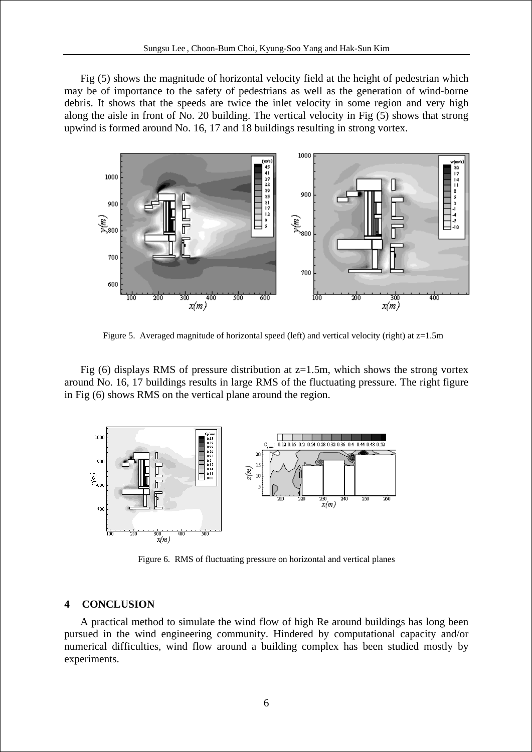Fig (5) shows the magnitude of horizontal velocity field at the height of pedestrian which may be of importance to the safety of pedestrians as well as the generation of wind-borne debris. It shows that the speeds are twice the inlet velocity in some region and very high along the aisle in front of No. 20 building. The vertical velocity in Fig (5) shows that strong upwind is formed around No. 16, 17 and 18 buildings resulting in strong vortex.



Figure 5. Averaged magnitude of horizontal speed (left) and vertical velocity (right) at  $z=1.5m$ 

Fig  $(6)$  displays RMS of pressure distribution at  $z=1.5$ m, which shows the strong vortex around No. 16, 17 buildings results in large RMS of the fluctuating pressure. The right figure in Fig (6) shows RMS on the vertical plane around the region.



Figure 6. RMS of fluctuating pressure on horizontal and vertical planes

# **4 CONCLUSION**

A practical method to simulate the wind flow of high Re around buildings has long been pursued in the wind engineering community. Hindered by computational capacity and/or numerical difficulties, wind flow around a building complex has been studied mostly by experiments.